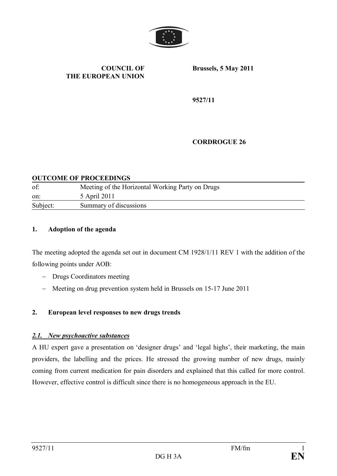

#### **COUNCIL OF THE EUROPEAN UNION**

**Brussels, 5 May 2011**

**9527/11**

#### **CORDROGUE 26**

#### **OUTCOME OF PROCEEDINGS**

| of:      | Meeting of the Horizontal Working Party on Drugs |
|----------|--------------------------------------------------|
| on:      | 5 April 2011                                     |
| Subject: | Summary of discussions                           |

#### **1. Adoption of the agenda**

The meeting adopted the agenda set out in document CM 1928/1/11 REV 1 with the addition of the following points under AOB:

- Drugs Coordinators meeting
- Meeting on drug prevention system held in Brussels on 15-17 June 2011

#### **2. European level responses to new drugs trends**

#### *2.1. New psychoactive substances*

A HU expert gave a presentation on 'designer drugs' and 'legal highs', their marketing, the main providers, the labelling and the prices. He stressed the growing number of new drugs, mainly coming from current medication for pain disorders and explained that this called for more control. However, effective control is difficult since there is no homogeneous approach in the EU.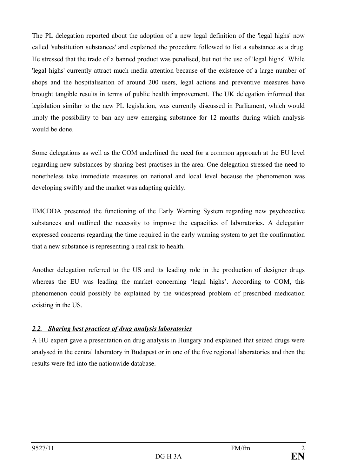The PL delegation reported about the adoption of a new legal definition of the 'legal highs' now called 'substitution substances' and explained the procedure followed to list a substance as a drug. He stressed that the trade of a banned product was penalised, but not the use of 'legal highs'. While 'legal highs' currently attract much media attention because of the existence of a large number of shops and the hospitalisation of around 200 users, legal actions and preventive measures have brought tangible results in terms of public health improvement. The UK delegation informed that legislation similar to the new PL legislation, was currently discussed in Parliament, which would imply the possibility to ban any new emerging substance for 12 months during which analysis would be done.

Some delegations as well as the COM underlined the need for a common approach at the EU level regarding new substances by sharing best practises in the area. One delegation stressed the need to nonetheless take immediate measures on national and local level because the phenomenon was developing swiftly and the market was adapting quickly.

EMCDDA presented the functioning of the Early Warning System regarding new psychoactive substances and outlined the necessity to improve the capacities of laboratories. A delegation expressed concerns regarding the time required in the early warning system to get the confirmation that a new substance is representing a real risk to health.

Another delegation referred to the US and its leading role in the production of designer drugs whereas the EU was leading the market concerning 'legal highs'. According to COM, this phenomenon could possibly be explained by the widespread problem of prescribed medication existing in the US.

# *2.2. Sharing best practices of drug analysis laboratories*

A HU expert gave a presentation on drug analysis in Hungary and explained that seized drugs were analysed in the central laboratory in Budapest or in one of the five regional laboratories and then the results were fed into the nationwide database.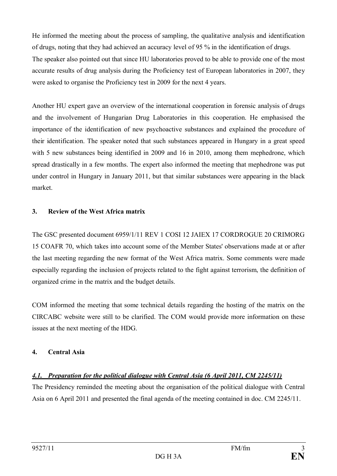He informed the meeting about the process of sampling, the qualitative analysis and identification of drugs, noting that they had achieved an accuracy level of 95 % in the identification of drugs. The speaker also pointed out that since HU laboratories proved to be able to provide one of the most accurate results of drug analysis during the Proficiency test of European laboratories in 2007, they were asked to organise the Proficiency test in 2009 for the next 4 years.

Another HU expert gave an overview of the international cooperation in forensic analysis of drugs and the involvement of Hungarian Drug Laboratories in this cooperation. He emphasised the importance of the identification of new psychoactive substances and explained the procedure of their identification. The speaker noted that such substances appeared in Hungary in a great speed with 5 new substances being identified in 2009 and 16 in 2010, among them mephedrone, which spread drastically in a few months. The expert also informed the meeting that mephedrone was put under control in Hungary in January 2011, but that similar substances were appearing in the black market.

### **3. Review of the West Africa matrix**

The GSC presented document 6959/1/11 REV 1 COSI 12 JAIEX 17 CORDROGUE 20 CRIMORG 15 COAFR 70, which takes into account some of the Member States' observations made at or after the last meeting regarding the new format of the West Africa matrix. Some comments were made especially regarding the inclusion of projects related to the fight against terrorism, the definition of organized crime in the matrix and the budget details.

COM informed the meeting that some technical details regarding the hosting of the matrix on the CIRCABC website were still to be clarified. The COM would provide more information on these issues at the next meeting of the HDG.

# **4. Central Asia**

# *4.1. Preparation for the political dialogue with Central Asia (6 April 2011, CM 2245/11)*

The Presidency reminded the meeting about the organisation of the political dialogue with Central Asia on 6 April 2011 and presented the final agenda of the meeting contained in doc. CM 2245/11.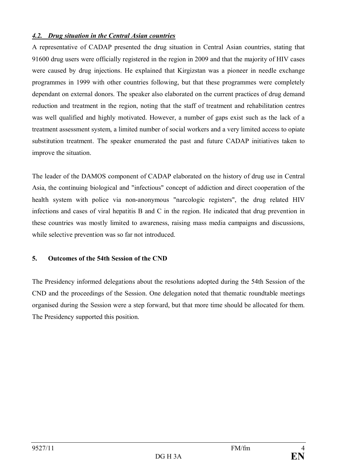### *4.2. Drug situation in the Central Asian countries*

A representative of CADAP presented the drug situation in Central Asian countries, stating that 91600 drug users were officially registered in the region in 2009 and that the majority of HIV cases were caused by drug injections. He explained that Kirgizstan was a pioneer in needle exchange programmes in 1999 with other countries following, but that these programmes were completely dependant on external donors. The speaker also elaborated on the current practices of drug demand reduction and treatment in the region, noting that the staff of treatment and rehabilitation centres was well qualified and highly motivated. However, a number of gaps exist such as the lack of a treatment assessment system, a limited number of social workers and a very limited access to opiate substitution treatment. The speaker enumerated the past and future CADAP initiatives taken to improve the situation.

The leader of the DAMOS component of CADAP elaborated on the history of drug use in Central Asia, the continuing biological and "infectious" concept of addiction and direct cooperation of the health system with police via non-anonymous "narcologic registers", the drug related HIV infections and cases of viral hepatitis B and C in the region. He indicated that drug prevention in these countries was mostly limited to awareness, raising mass media campaigns and discussions, while selective prevention was so far not introduced.

# **5. Outcomes of the 54th Session of the CND**

The Presidency informed delegations about the resolutions adopted during the 54th Session of the CND and the proceedings of the Session. One delegation noted that thematic roundtable meetings organised during the Session were a step forward, but that more time should be allocated for them. The Presidency supported this position.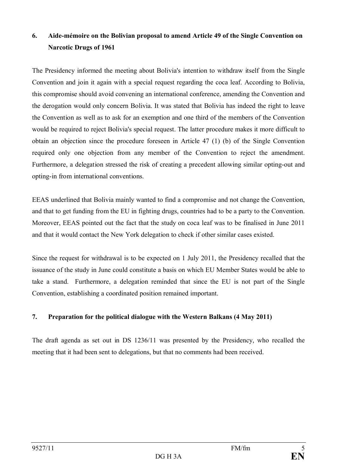# **6. Aide-mémoire on the Bolivian proposal to amend Article 49 of the Single Convention on Narcotic Drugs of 1961**

The Presidency informed the meeting about Bolivia's intention to withdraw itself from the Single Convention and join it again with a special request regarding the coca leaf. According to Bolivia, this compromise should avoid convening an international conference, amending the Convention and the derogation would only concern Bolivia. It was stated that Bolivia has indeed the right to leave the Convention as well as to ask for an exemption and one third of the members of the Convention would be required to reject Bolivia's special request. The latter procedure makes it more difficult to obtain an objection since the procedure foreseen in Article 47 (1) (b) of the Single Convention required only one objection from any member of the Convention to reject the amendment. Furthermore, a delegation stressed the risk of creating a precedent allowing similar opting-out and opting-in from international conventions.

EEAS underlined that Bolivia mainly wanted to find a compromise and not change the Convention, and that to get funding from the EU in fighting drugs, countries had to be a party to the Convention. Moreover, EEAS pointed out the fact that the study on coca leaf was to be finalised in June 2011 and that it would contact the New York delegation to check if other similar cases existed.

Since the request for withdrawal is to be expected on 1 July 2011, the Presidency recalled that the issuance of the study in June could constitute a basis on which EU Member States would be able to take a stand. Furthermore, a delegation reminded that since the EU is not part of the Single Convention, establishing a coordinated position remained important.

# **7. Preparation for the political dialogue with the Western Balkans (4 May 2011)**

The draft agenda as set out in DS 1236/11 was presented by the Presidency, who recalled the meeting that it had been sent to delegations, but that no comments had been received.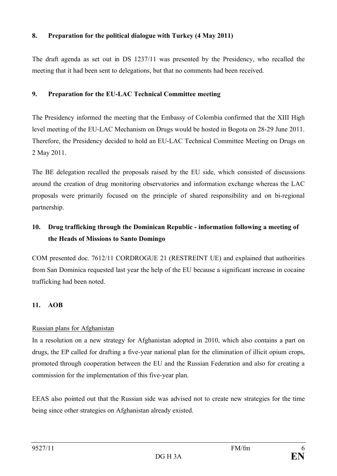### **8. Preparation for the political dialogue with Turkey (4 May 2011)**

The draft agenda as set out in DS 1237/11 was presented by the Presidency, who recalled the meeting that it had been sent to delegations, but that no comments had been received.

#### **9. Preparation for the EU-LAC Technical Committee meeting**

The Presidency informed the meeting that the Embassy of Colombia confirmed that the XIII High level meeting of the EU-LAC Mechanism on Drugs would be hosted in Bogota on 28-29 June 2011. Therefore, the Presidency decided to hold an EU-LAC Technical Committee Meeting on Drugs on 2 May 2011.

The BE delegation recalled the proposals raised by the EU side, which consisted of discussions around the creation of drug monitoring observatories and information exchange whereas the LAC proposals were primarily focused on the principle of shared responsibility and on bi-regional partnership.

# **10. Drug trafficking through the Dominican Republic - information following a meeting of the Heads of Missions to Santo Domingo**

COM presented doc. 7612/11 CORDROGUE 21 (RESTREINT UE) and explained that authorities from San Dominica requested last year the help of the EU because a significant increase in cocaine trafficking had been noted.

# **11. AOB**

# Russian plans for Afghanistan

In a resolution on a new strategy for Afghanistan adopted in 2010, which also contains a part on drugs, the EP called for drafting a five-year national plan for the elimination of illicit opium crops, promoted through cooperation between the EU and the Russian Federation and also for creating a commission for the implementation of this five-year plan.

EEAS also pointed out that the Russian side was advised not to create new strategies for the time being since other strategies on Afghanistan already existed.